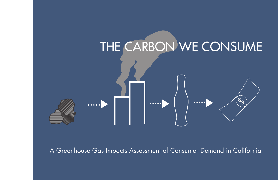

A Greenhouse Gas Impacts Assessment of Consumer Demand in California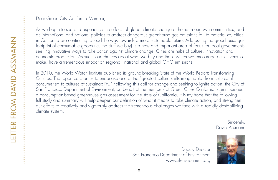#### Dear Green City California Member,

As we begin to see and experience the effects of global climate change at home in our own communities, and as international and national policies to address dangerous greenhouse gas emissions fail to materialize, cities in California are continuing to lead the way towards a more sustainable future. Addressing the greenhouse gas footprint of consumable goods (ie. the stuff we buy) is a new and important area of focus for local governments seeking innovative ways to take action against climate change. Cities are hubs of culture, innovation and economic production. As such, our choices about what we buy and those which we encourage our citizens to make, have a tremendous impact on regional, national and global GHG emissions.

In 2010, the World Watch Institute published its ground-breaking State of the World Report: Transforming Cultures. The report calls on us to undertake one of the "greatest culture shifts imaginable: from cultures of consumerism to cultures of sustainability." Following this call for change and seeking to ignite action, the City of San Francisco Department of Environment, on behalf of the members of Green Cities California, commissioned a consumption-based greenhouse gas assessment for the state of California. It is my hope that the following full study and summary will help deepen our definition of what it means to take climate action, and strengthen our efforts to creatively and vigorously address the tremendous challenges we face with a rapidly destabilizing climate system.

> Sincerely, David Assmann

Deputy Director San Francisco Department of Environment www.sfenvironment.org

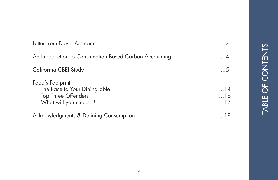| Letter from David Assmann                                                                               | $\dots$ X                      |
|---------------------------------------------------------------------------------------------------------|--------------------------------|
| An Introduction to Consumption Based Carbon Accounting                                                  | $\dots 4$                      |
| California CBEI Study                                                                                   | $\dots$ 5                      |
| Food's Footprint<br>The Race to Your DiningTable<br><b>Top Three Offenders</b><br>What will you choose? | $\dots$ 14<br>16<br>$\dots$ 17 |
| Acknowledgments & Defining Consumption                                                                  | . 18                           |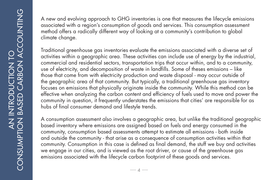A new and evolving approach to GHG inventories is one that measures the lifecycle emissions associated with a region's consumption of goods and services. This consumption assessment method offers a radically different way of looking at a community's contribution to global climate change.

Traditional greenhouse gas inventories evaluate the emissions associated with a diverse set of activities within a geographic area. These activities can include use of energy by the industrial, commercial and residential sectors, transportation trips that occur within, and to a community, use of electricity, and decomposition of waste in landfills. Some of theses emissions – like those that come from with electricity production and waste disposal - may occur outside of the geographic area of that community. But typically, a traditional greenhouse gas inventory focuses on emissions that physically originate inside the community. While this method can be effective when analyzing the carbon content and efficiency of fuels used to move and power the community in question, it frequently understates the emissions that cities' are responsible for as hubs of final consumer demand and lifestyle trends.

A consumption assessment also involves a geographic area, but unlike the traditional geographic based inventory where emissions are assigned based on fuels and energy consumed in the community, consumption based assessments attempt to estimate all emissions - both inside and outside the community - that arise as a consequence of consumption activities within that community. Consumption in this case is defined as final demand, the stuff we buy and activities we engage in our cities, and is viewed as the root driver, or cause of the greenhouse gas emissions associated with the lifecycle carbon footprint of these goods and services.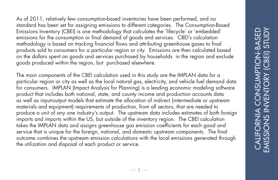As of 2011, relatively few consumption-based inventories have been performed, and no standard has been set for assigning emissions to different categories. The Consumption-Based Emissions Inventory (CBEI) is one methodology that calculates the 'lifecycle' or 'embedded' emissions for the consumption or final demand of goods and services. CBEI's calculation methodology is based on tracking financial flows and attributing greenhouse gases to final products sold to consumers for a particular region or city. Emissions are then calculated based on the dollars spent on goods and services purchased by households in the region and exclude goods produced within the region, but purchased elsewhere.

The main components of the CBEI calculation used in this study are the IMPLAN data for a particular region or city as well as the local natural gas, electricity, and vehicle fuel demand data for consumers. IMPLAN (Impact Analysis for Planning) is a leading economic modeling software product that includes both national, state, and county income and production accounts data as well as input-output models that estimate the allocation of indirect (intermediate or upstream materials and equipment) requirements of production, from all sectors, that are needed to produce a unit of any one industry's output. The upstream data includes estimates of both foreign imports and imports within the US, but outside of the inventory region. The CBEI calculation takes the IMPLAN data and assigns greenhouse gas emission coefficients for each good and service that is unique for the foreign, national, and domestic upstream components. The final outcome combines the upstream emission calculations with the local emissions generated through the utilization and disposal of each product or service.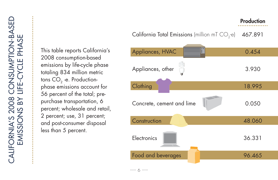This table reports California's 2008 consumption-based emissions by life-cycle phase totaling 834 million metric tons  $CO<sub>2</sub>$  -e. Productionphase emissions account for 56 percent of the total; prepurchase transportation, 6 percent; wholesale and retail, 2 percent; use, 31 percent; and post-consumer disposal less than 5 percent.

#### California Total Emissions (million mT  $CO<sub>2</sub>$ -e) 467.891

**Production** 

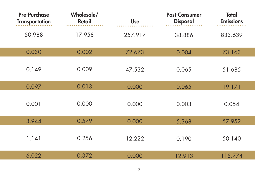| <b>Pre-Purchase</b><br><b>Transportation</b> | Wholesale/<br><b>Retail</b> | <b>Use</b> | <b>Post-Consumer</b><br><b>Disposal</b> | <b>Total</b><br><b>Emissions</b> |
|----------------------------------------------|-----------------------------|------------|-----------------------------------------|----------------------------------|
| 50.988                                       | 17.958                      | 257.917    | 38.886                                  | 833.639                          |
| 0.030                                        | 0.002                       | 72.673     | 0.004                                   | 73.163                           |
| 0.149                                        | 0.009                       | 47.532     | 0.065                                   | 51.685                           |
| 0.097                                        | 0.013                       | 0.000      | 0.065                                   | 19.171                           |
| 0.001                                        | 0.000                       | 0.000      | 0.003                                   | 0.054                            |
| 3.944                                        | 0.579                       | 0.000      | 5.368                                   | 57.952                           |
| 1.141                                        | 0.256                       | 12.222     | 0.190                                   | 50.140                           |
| 6.022                                        | 0.372                       | 0.000      | 12.913                                  | 115.774                          |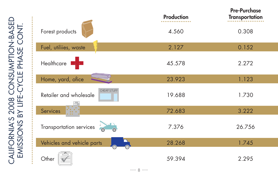CALIFORNIA'S 2008 CONSUMPTION-BASED alifornia's 2008 consumption-basei<br>Emissions by life-cycle phase cont. EMISSIONS BY LIFE-CYCLE PHASE CONT.

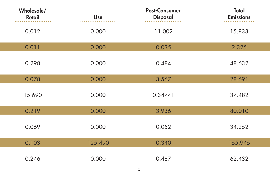| Wholesale/<br><b>Retail</b> | Use     | <b>Post-Consumer</b><br><b>Disposal</b> | <b>Total</b><br><b>Emissions</b> |
|-----------------------------|---------|-----------------------------------------|----------------------------------|
| 0.012                       | 0.000   | 11.002                                  | 15.833                           |
| 0.011                       | 0.000   | 0.035                                   | 2.325                            |
| 0.298                       | 0.000   | 0.484                                   | 48.632                           |
| 0.078                       | 0.000   | 3.567                                   | 28.691                           |
| 15.690                      | 0.000   | 0.34741                                 | 37.482                           |
| 0.219                       | 0.000   | 3.936                                   | 80.010                           |
| 0.069                       | 0.000   | 0.052                                   | 34.252                           |
| 0.103                       | 125.490 | 0.340                                   | 155.945                          |
| 0.246                       | 0.000   | 0.487                                   | 62.432                           |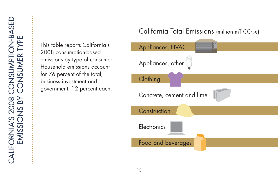This table reports California's 2008 consumption-based emissions by type of consumer. Household emissions account for 76 percent of the total; business investment and government, 12 percent each.

# California Total Emissions (million mT  $CO<sub>2</sub>$ -e)

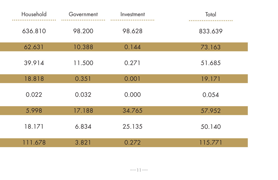| Household | Government | Investment | Total   |
|-----------|------------|------------|---------|
| 636.810   | 98.200     | 98.628     | 833.639 |
| 62.631    | 10.388     | 0.144      | 73.163  |
| 39.914    | 11.500     | 0.271      | 51.685  |
| 18.818    | 0.351      | 0.001      | 19.171  |
| 0.022     | 0.032      | 0.000      | 0.054   |
| 5.998     | 17.188     | 34.765     | 57.952  |
| 18.171    | 6.834      | 25.135     | 50.140  |
| 111.678   | 3.821      | 0.272      | 115.771 |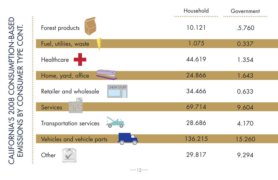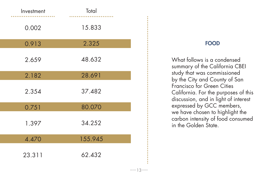| Investment | Total   |
|------------|---------|
| 0.002      | 15.833  |
| 0.913      | 2.325   |
| 2.659      | 48.632  |
| 2.182      | 28.691  |
| 2.354      | 37.482  |
| 0.751      | 80.070  |
| 1.397      | 34.252  |
| 4.470      | 155.945 |
| 23.311     | 62.432  |

## FOOD

What follows is a condensed summary of the California CBEI study that was commissioned by the City and County of San Francisco for Green Cities California. For the purposes of this discussion, and in light of interest expressed by GCC members, we have chosen to highlight the carbon intensity of food consumed in the Golden State.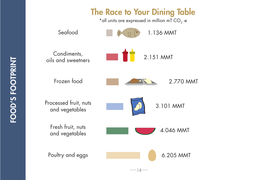

FOOD'S FOOTPRINT **FOOD'S FOOTPRINT**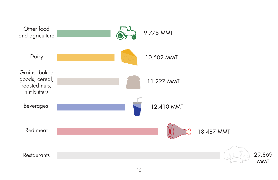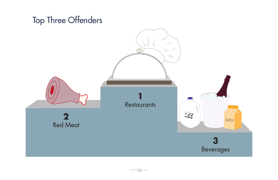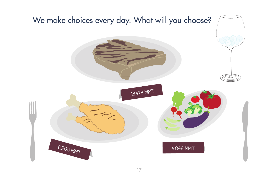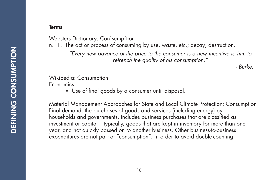### Terms

Websters Dictionary: Con`sump´tion

n. 1. The act or process of consuming by use, waste, etc.; decay; destruction.

*"Every new advance of the price to the consumer is a new incentive to him to retrench the quality of his consumption."*

*- Burke.*

#### Wikipedia: Consumption Economics

 • Use of final goods by a consumer until disposal.

Material Management Approaches for State and Local Climate Protection: Consumption Final demand; the purchases of goods and services (including energy) by households and governments. Includes business purchases that are classified as investment or capital – typically, goods that are kept in inventory for more than one year, and not quickly passed on to another business. Other business-to-business expenditures are not part of "consumption", in order to avoid double-counting.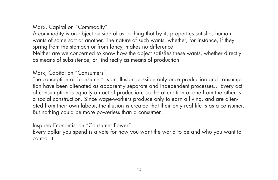# Marx, Capital on "Commodity"

A commodity is an object outside of us, a thing that by its properties satisfies human wants of some sort or another. The nature of such wants, whether, for instance, if they spring from the stomach or from fancy, makes no difference.

Neither are we concerned to know how the object satisfies these wants, whether directly as means of subsistence, or indirectly as means of production.

# Mark, Capital on "Consumers"

The conception of "consumer" is an illusion possible only once production and consumption have been alienated as apparently separate and independent processes... Every act of consumption is equally an act of production, so the alienation of one from the other is a social construction. Since wage-workers produce only to earn a living, and are alienated from their own labour, the illusion is created that their only real life is as a consumer. But nothing could be more powerless than a consumer.

Inspired Economist on "Consumer Power"

Every dollar you spend is a vote for how you want the world to be and who you want to control it.